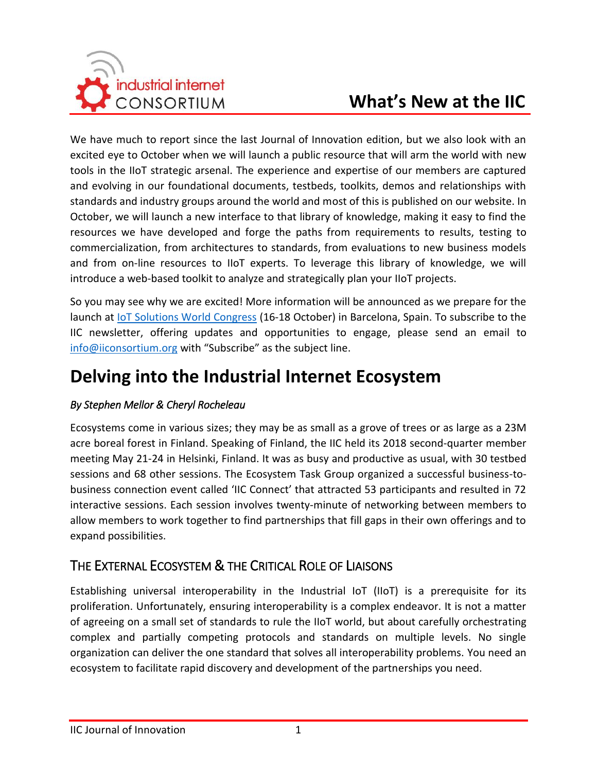

We have much to report since the last Journal of Innovation edition, but we also look with an excited eye to October when we will launch a public resource that will arm the world with new tools in the IIoT strategic arsenal. The experience and expertise of our members are captured and evolving in our foundational documents, testbeds, toolkits, demos and relationships with standards and industry groups around the world and most of this is published on our website. In October, we will launch a new interface to that library of knowledge, making it easy to find the resources we have developed and forge the paths from requirements to results, testing to commercialization, from architectures to standards, from evaluations to new business models and from on-line resources to IIoT experts. To leverage this library of knowledge, we will introduce a web-based toolkit to analyze and strategically plan your IIoT projects.

So you may see why we are excited! More information will be announced as we prepare for the launch at [IoT Solutions World Congress](https://www.iotsworldcongress.com/) (16-18 October) in Barcelona, Spain. To subscribe to the IIC newsletter, offering updates and opportunities to engage, please send an email to [info@iiconsortium.org](mailto:info@iiconsortium.org?subject=Subscribe) with "Subscribe" as the subject line.

# **Delving into the Industrial Internet Ecosystem**

#### *By Stephen Mellor & Cheryl Rocheleau*

Ecosystems come in various sizes; they may be as small as a grove of trees or as large as a 23M acre boreal forest in Finland. Speaking of Finland, the IIC held its 2018 second-quarter member meeting May 21-24 in Helsinki, Finland. It was as busy and productive as usual, with 30 testbed sessions and 68 other sessions. The Ecosystem Task Group organized a successful business-tobusiness connection event called 'IIC Connect' that attracted 53 participants and resulted in 72 interactive sessions. Each session involves twenty-minute of networking between members to allow members to work together to find partnerships that fill gaps in their own offerings and to expand possibilities.

## THE EXTERNAL ECOSYSTEM & THE CRITICAL ROLE OF LIAISONS

Establishing universal interoperability in the Industrial IoT (IIoT) is a prerequisite for its proliferation. Unfortunately, ensuring interoperability is a complex endeavor. It is not a matter of agreeing on a small set of standards to rule the IIoT world, but about carefully orchestrating complex and partially competing protocols and standards on multiple levels. No single organization can deliver the one standard that solves all interoperability problems. You need an ecosystem to facilitate rapid discovery and development of the partnerships you need.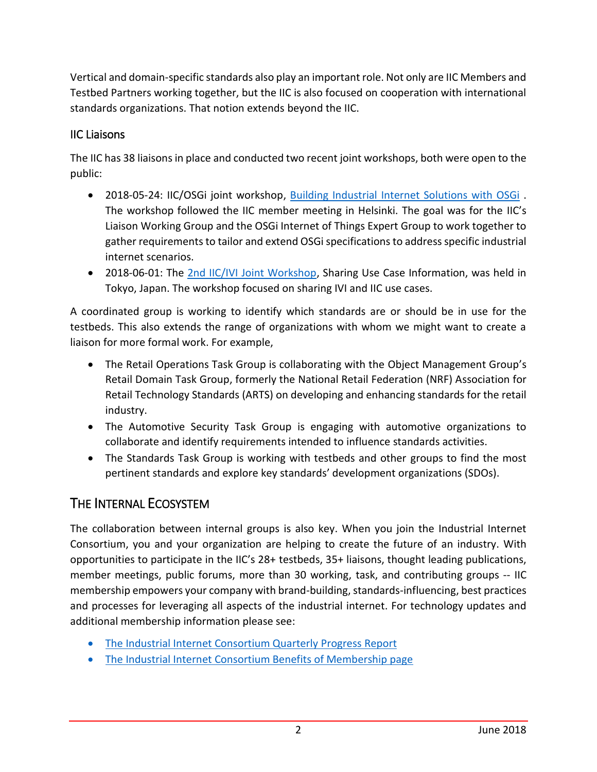Vertical and domain-specific standards also play an important role. Not only are IIC Members and Testbed Partners working together, but the IIC is also focused on cooperation with international standards organizations. That notion extends beyond the IIC.

#### IIC Liaisons

The IIC has 38 liaisons in place and conducted two recent joint workshops, both were open to the public:

- 2018-05-24: IIC/OSGi joint workshop, [Building Industrial Internet Solutions with OSGi](https://www.iiconsortium.org/helsinki-liaison-workshop.htm) The workshop followed the IIC member meeting in Helsinki. The goal was for the IIC's Liaison Working Group and the OSGi Internet of Things Expert Group to work together to gather requirements to tailor and extend OSGi specifications to address specific industrial internet scenarios.
- 2018-06-01: The [2nd IIC/IVI Joint Workshop,](https://iv-i.org/wp/en/2018/04/23/001-9/) Sharing Use Case Information, was held in Tokyo, Japan. The workshop focused on sharing IVI and IIC use cases.

A coordinated group is working to identify which standards are or should be in use for the testbeds. This also extends the range of organizations with whom we might want to create a liaison for more formal work. For example,

- The Retail Operations Task Group is collaborating with the Object Management Group's Retail Domain Task Group, formerly the National Retail Federation (NRF) Association for Retail Technology Standards (ARTS) on developing and enhancing standards for the retail industry.
- The Automotive Security Task Group is engaging with automotive organizations to collaborate and identify requirements intended to influence standards activities.
- The Standards Task Group is working with testbeds and other groups to find the most pertinent standards and explore key standards' development organizations (SDOs).

# THE INTERNAL ECOSYSTEM

The collaboration between internal groups is also key. When you join the Industrial Internet Consortium, you and your organization are helping to create the future of an industry. With opportunities to participate in the IIC's 28+ testbeds, 35+ liaisons, thought leading publications, member meetings, public forums, more than 30 working, task, and contributing groups -- IIC membership empowers your company with brand-building, standards-influencing, best practices and processes for leveraging all aspects of the industrial internet. For technology updates and additional membership information please see:

- [The Industrial Internet Consortium Quarterly Progress Report](https://www.iiconsortium.org/quarterly-reports)
- [The Industrial Internet Consortium Benefits of Membership page](https://www.iiconsortium.org/become-member)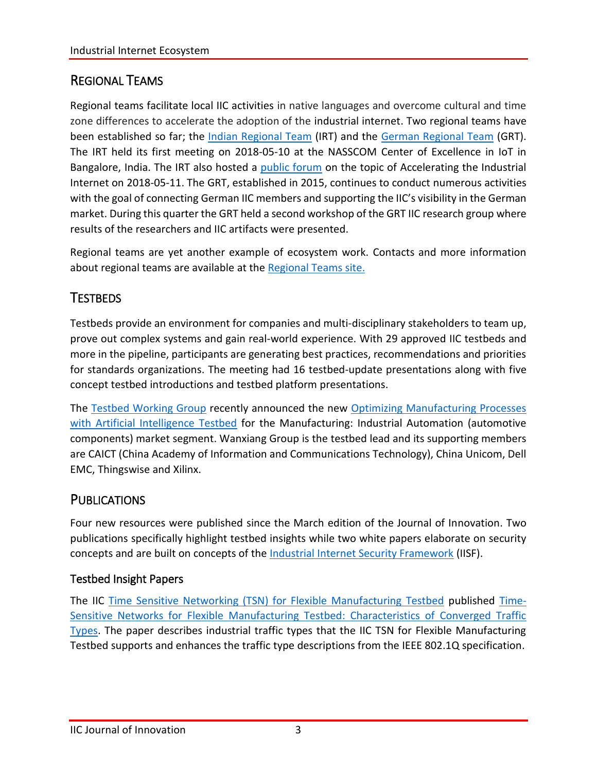# REGIONAL TEAMS

Regional teams facilitate local IIC activities in native languages and overcome cultural and time zone differences to accelerate the adoption of the industrial internet. Two regional teams have been established so far; the *Indian [Regional Team](http://coe-iot.com/)* (IRT) and the [German Regional Team](http://steinbeis-fsti.de/de/iic/) (GRT). The IRT held its first meeting on 2018-05-10 at the NASSCOM Center of Excellence in IoT in Bangalore, India. The IRT also hosted a [public forum](https://www.iiconsortium.org/industrial-internet-acceleration-forum/index.htm) on the topic of Accelerating the Industrial Internet on 2018-05-11. The GRT, established in 2015, continues to conduct numerous activities with the goal of connecting German IIC members and supporting the IIC's visibility in the German market. During this quarter the GRT held a second workshop of the GRT IIC research group where results of the researchers and IIC artifacts were presented.

Regional teams are yet another example of ecosystem work. Contacts and more information about regional teams are available at th[e Regional Teams site.](https://iiconsortium.org/regional-teams.htm)

# **TESTBEDS**

Testbeds provide an environment for companies and multi-disciplinary stakeholders to team up, prove out complex systems and gain real-world experience. With 29 approved IIC testbeds and more in the pipeline, participants are generating best practices, recommendations and priorities for standards organizations. The meeting had 16 testbed-update presentations along with five concept testbed introductions and testbed platform presentations.

The [Testbed Working Group](http://www.iiconsortium.org/test-beds.htm) recently announced the new [Optimizing Manufacturing Processes](https://www.iiconsortium.org/optimizing-manufacturing-processes.htm)  [with Artificial Intelligence Testbed](https://www.iiconsortium.org/optimizing-manufacturing-processes.htm) for the Manufacturing: Industrial Automation (automotive components) market segment. Wanxiang Group is the testbed lead and its supporting members are CAICT (China Academy of Information and Communications Technology), China Unicom, Dell EMC, Thingswise and Xilinx.

## **PUBLICATIONS**

Four new resources were published since the March edition of the Journal of Innovation. Two publications specifically highlight testbed insights while two white papers elaborate on security concepts and are built on concepts of the [Industrial Internet Security Framework](https://www.iiconsortium.org/IISF.htm) (IISF).

### Testbed Insight Papers

The IIC [Time Sensitive Networking \(TSN\) for Flexible Manufacturing Testbed](https://www.iiconsortium.org/time-sensitive-networks.htm) published [Time-](https://www.iiconsortium.org/pdf/IIC_TSN_Testbed_Traffic_Whitepaper_20180418.pdf)[Sensitive Networks for Flexible Manufacturing Testbed: Characteristics of Converged Traffic](https://www.iiconsortium.org/pdf/IIC_TSN_Testbed_Traffic_Whitepaper_20180418.pdf)  [Types.](https://www.iiconsortium.org/pdf/IIC_TSN_Testbed_Traffic_Whitepaper_20180418.pdf) The paper describes industrial traffic types that the IIC TSN for Flexible Manufacturing Testbed supports and enhances the traffic type descriptions from the IEEE 802.1Q specification.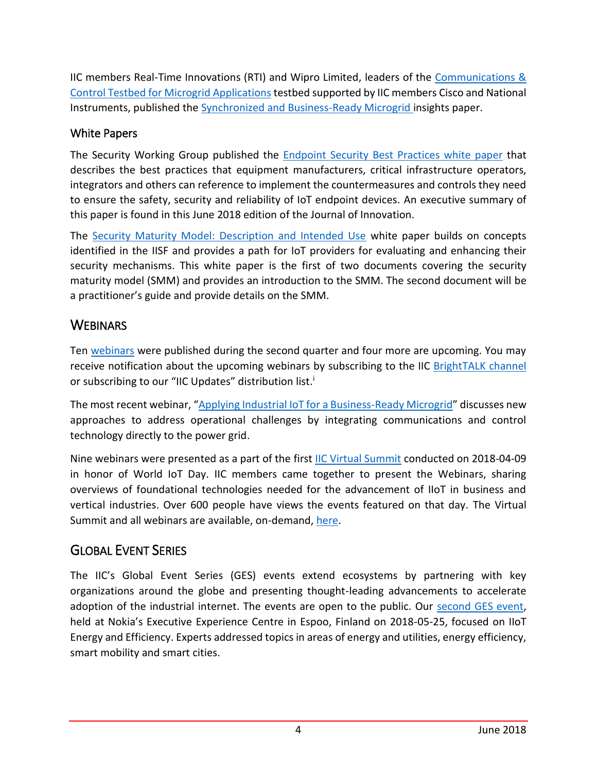IIC members Real-Time Innovations (RTI) and Wipro Limited, leaders of the [Communications &](https://www.iiconsortium.org/microgrid.htm)  [Control Testbed for Microgrid Applications](https://www.iiconsortium.org/microgrid.htm) testbed supported by IIC members Cisco and National Instruments, published the [Synchronized and Business-Ready Microgrid](https://www.iiconsortium.org/pdf/Synchronized_and_Business-Ready_Microgrid_20180426.pdf) insights paper.

#### White Papers

The Security Working Group published the **Endpoint Security Best Practices white paper that** describes the best practices that equipment manufacturers, critical infrastructure operators, integrators and others can reference to implement the countermeasures and controls they need to ensure the safety, security and reliability of IoT endpoint devices. An executive summary of this paper is found in this June 2018 edition of the Journal of Innovation.

The [Security Maturity Model: Description and Intended Use](https://www.iiconsortium.org/pdf/SMM_Description_and_Intended_Use_2018-04-09.pdf) white paper builds on concepts identified in the IISF and provides a path for IoT providers for evaluating and enhancing their security mechanisms. This white paper is the first of two documents covering the security maturity model (SMM) and provides an introduction to the SMM. The second document will be a practitioner's guide and provide details on the SMM.

# **WEBINARS**

Ten [webinars](https://www.iiconsortium.org/webinars/index.htm) were published during the second quarter and four more are upcoming. You may receive notification about the upcoming webinars by subscribing to the IIC [BrightTALK channel](https://www.brighttalk.com/channel/14645/industrial-internet-consortium) or subscribing to our "IIC Updates" distribution list.<sup>i</sup>

The most recent webinar, "[Applying Industrial IoT for a Business-Ready Microgrid](https://www.brighttalk.com/webcast/14645/315853)" discusses new approaches to address operational challenges by integrating communications and control technology directly to the power grid.

Nine webinars were presented as a part of the first [IIC Virtual Summit](https://iiconsortium.org/virtual-summit.htm) conducted on 2018-04-09 in honor of World IoT Day. IIC members came together to present the Webinars, sharing overviews of foundational technologies needed for the advancement of IIoT in business and vertical industries. Over 600 people have views the events featured on that day. The Virtual Summit and all webinars are available, on-demand, [here.](https://www.iiconsortium.org/video-library.htm)

# GLOBAL EVENT SERIES

The IIC's Global Event Series (GES) events extend ecosystems by partnering with key organizations around the globe and presenting thought-leading advancements to accelerate adoption of the industrial internet. The events are open to the public. Our [second GES event,](https://www.iiconsortium.org/finland-energy-forum.htm) held at Nokia's Executive Experience Centre in Espoo, Finland on 2018-05-25, focused on IIoT Energy and Efficiency. Experts addressed topics in areas of energy and utilities, energy efficiency, smart mobility and smart cities.